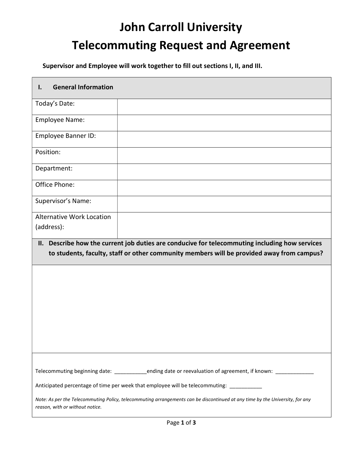## John Carroll University Telecommuting Request and Agreement

Supervisor and Employee will work together to fill out sections I, II, and III.

| <b>General Information</b><br>I.                                                                                                                                                            |  |  |  |  |
|---------------------------------------------------------------------------------------------------------------------------------------------------------------------------------------------|--|--|--|--|
| Today's Date:                                                                                                                                                                               |  |  |  |  |
| <b>Employee Name:</b>                                                                                                                                                                       |  |  |  |  |
| Employee Banner ID:                                                                                                                                                                         |  |  |  |  |
| Position:                                                                                                                                                                                   |  |  |  |  |
| Department:                                                                                                                                                                                 |  |  |  |  |
| Office Phone:                                                                                                                                                                               |  |  |  |  |
| Supervisor's Name:                                                                                                                                                                          |  |  |  |  |
| <b>Alternative Work Location</b>                                                                                                                                                            |  |  |  |  |
| (address):                                                                                                                                                                                  |  |  |  |  |
| II. Describe how the current job duties are conducive for telecommuting including how services<br>to students, faculty, staff or other community members will be provided away from campus? |  |  |  |  |
|                                                                                                                                                                                             |  |  |  |  |
|                                                                                                                                                                                             |  |  |  |  |
|                                                                                                                                                                                             |  |  |  |  |
|                                                                                                                                                                                             |  |  |  |  |
|                                                                                                                                                                                             |  |  |  |  |
|                                                                                                                                                                                             |  |  |  |  |
|                                                                                                                                                                                             |  |  |  |  |
|                                                                                                                                                                                             |  |  |  |  |
|                                                                                                                                                                                             |  |  |  |  |
| Telecommuting beginning date: _________ending date or reevaluation of agreement, if known: ____________                                                                                     |  |  |  |  |
| Anticipated percentage of time per week that employee will be telecommuting:                                                                                                                |  |  |  |  |
| Note: As per the Telecommuting Policy, telecommuting arrangements can be discontinued at any time by the University, for any<br>reason, with or without notice.                             |  |  |  |  |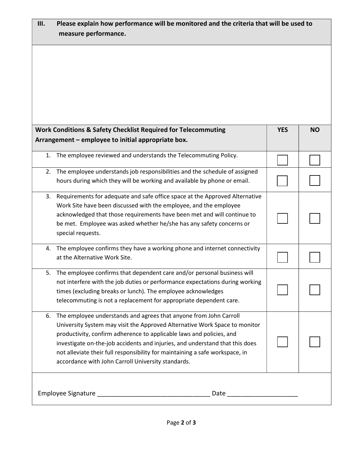| Please explain how performance will be monitored and the criteria that will be used to<br>III.<br>measure performance.                                                                                                         |                                                                                                                                                                                                                                                                                                                                                                                                                                               |            |           |  |  |
|--------------------------------------------------------------------------------------------------------------------------------------------------------------------------------------------------------------------------------|-----------------------------------------------------------------------------------------------------------------------------------------------------------------------------------------------------------------------------------------------------------------------------------------------------------------------------------------------------------------------------------------------------------------------------------------------|------------|-----------|--|--|
|                                                                                                                                                                                                                                |                                                                                                                                                                                                                                                                                                                                                                                                                                               |            |           |  |  |
|                                                                                                                                                                                                                                | <b>Work Conditions &amp; Safety Checklist Required for Telecommuting</b>                                                                                                                                                                                                                                                                                                                                                                      | <b>YES</b> | <b>NO</b> |  |  |
|                                                                                                                                                                                                                                | Arrangement - employee to initial appropriate box.                                                                                                                                                                                                                                                                                                                                                                                            |            |           |  |  |
| 1.                                                                                                                                                                                                                             | The employee reviewed and understands the Telecommuting Policy.                                                                                                                                                                                                                                                                                                                                                                               |            |           |  |  |
| 2.                                                                                                                                                                                                                             | The employee understands job responsibilities and the schedule of assigned<br>hours during which they will be working and available by phone or email.                                                                                                                                                                                                                                                                                        |            |           |  |  |
| 3.                                                                                                                                                                                                                             | Requirements for adequate and safe office space at the Approved Alternative<br>Work Site have been discussed with the employee, and the employee<br>acknowledged that those requirements have been met and will continue to<br>be met. Employee was asked whether he/she has any safety concerns or<br>special requests.                                                                                                                      |            |           |  |  |
| 4.                                                                                                                                                                                                                             | The employee confirms they have a working phone and internet connectivity<br>at the Alternative Work Site.                                                                                                                                                                                                                                                                                                                                    |            |           |  |  |
| 5.                                                                                                                                                                                                                             | The employee confirms that dependent care and/or personal business will<br>not interfere with the job duties or performance expectations during working<br>times (excluding breaks or lunch). The employee acknowledges<br>telecommuting is not a replacement for appropriate dependent care.                                                                                                                                                 |            |           |  |  |
| 6.                                                                                                                                                                                                                             | The employee understands and agrees that anyone from John Carroll<br>University System may visit the Approved Alternative Work Space to monitor<br>productivity, confirm adherence to applicable laws and policies, and<br>investigate on-the-job accidents and injuries, and understand that this does<br>not alleviate their full responsibility for maintaining a safe workspace, in<br>accordance with John Carroll University standards. |            |           |  |  |
| Date and the contract of the contract of the contract of the contract of the contract of the contract of the contract of the contract of the contract of the contract of the contract of the contract of the contract of the c |                                                                                                                                                                                                                                                                                                                                                                                                                                               |            |           |  |  |